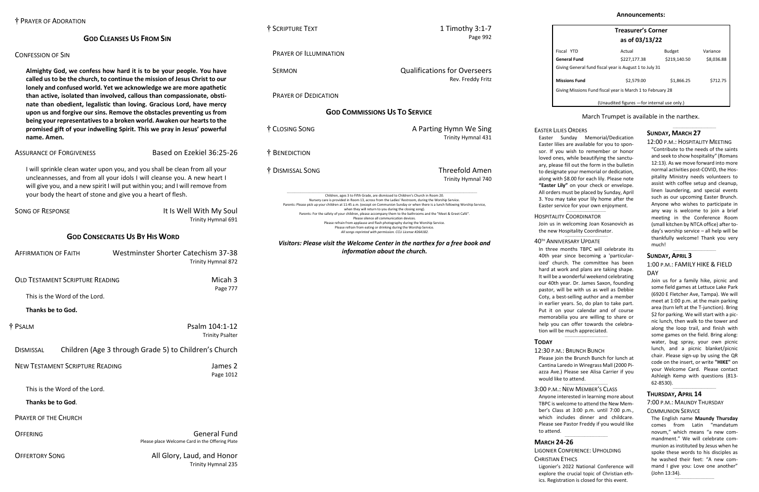# **GOD CLEANSES US FROM SIN**

# CONFESSION OF SIN

**Almighty God, we confess how hard it is to be your people. You have called us to be the church, to continue the mission of Jesus Christ to our lonely and confused world. Yet we acknowledge we are more apathetic than active, isolated than involved, callous than compassionate, obstinate than obedient, legalistic than loving. Gracious Lord, have mercy upon us and forgive our sins. Remove the obstacles preventing us from being your representatives to a broken world. Awaken our hearts to the promised gift of your indwelling Spirit. This we pray in Jesus' powerful name. Amen.**

# ASSURANCE OF FORGIVENESS Based on Ezekiel 36:25-26

SONG OF RESPONSE **It Is Well With My Soul** Trinity Hymnal 691 **GOD CONSECRATES US BY HIS WORD** AFFIRMATION OF FAITH Westminster Shorter Catechism 37-38 Trinity Hymnal 872 **OLD TESTAMENT SCRIPTURE READING MICAL STATES AND READY READING MICAL STATES AND READY READY** Page 777 This is the Word of the Lord. **Thanks be to God.** † PSALM Psalm 104:1-12 Trinity Psalter DISMISSAL Children (Age 3 through Grade 5) to Children's Church NEW TESTAMENT SCRIPTURE READING James 2 Page 1012 This is the Word of the Lord. **Thanks be to God**. PRAYER OF THE CHURCH OFFERING GENERAL CONTROL CONTROL CONTROL CONTROL CONTROL CONTROL CONTROL CONTROL CONTROL CONTROL CONTROL CONTROL CONTROL CONTROL CONTROL CONTROL CONTROL CONTROL CONTROL CONTROL CONTROL CONTROL CONTROL CONTROL CONTROL CONTR Please place Welcome Card in the Offering Plate OFFERTORY SONG All Glory, Laud, and Honor Trinity Hymnal 235

I will sprinkle clean water upon you, and you shall be clean from all your uncleannesses, and from all your idols I will cleanse you. A new heart I will give you, and a new spirit I will put within you; and I will remove from your body the heart of stone and give you a heart of flesh.

† SCRIPTURE TEXT 1 Timothy 3:1-7

Page 992

PRAYER OF ILLUMINATION SERMON Qualifications for Overseers Rev. Freddy Fritz PRAYER OF DEDICATION **GOD COMMISSIONS US TO SERVICE** † CLOSING SONG A Parting Hymn We Sing Trinity Hymnal 431 † BENEDICTION † DISMISSAL SONG Threefold Amen Trinity Hymnal 740 \_\_\_\_\_\_\_\_\_\_\_\_\_\_\_\_\_\_\_\_\_\_\_\_\_\_\_\_\_\_\_\_\_\_\_\_\_\_\_\_\_\_\_\_\_\_\_\_\_\_\_\_\_\_\_\_\_\_\_\_\_\_\_\_\_\_\_\_\_\_\_\_\_\_\_\_\_\_\_\_\_\_\_\_\_\_\_\_\_\_\_\_\_\_\_\_\_\_\_\_\_\_\_\_\_\_\_\_\_\_\_\_\_\_\_\_\_\_\_\_\_\_\_\_\_\_\_\_\_\_\_\_\_\_\_\_\_\_\_\_\_\_\_\_\_\_\_\_\_\_\_\_\_\_ Children, ages 3 to Fifth Grade, are dismissed to Children's Church in Room 20. Nursery care is provided in Room 13, across from the Ladies' Restroom, during the Worship Service. Parents: Please pick up your children at 11:45 a.m. (except on Communion Sunday or when there is a lunch following Worship Service, when they will return to you during the closing song). Parents: For the safety of your children, please accompany them to the bathrooms and the "Meet & Greet Café". Please silence all communication devices. Please refrain from applause and flash photography during the Worship Service. Please refrain from eating or drinking during the Worship Service. *All songs reprinted with permission. CCLI License #264182. Visitors: Please visit the Welcome Center in the narthex for a free book and information about the church.*

| <b>Treasurer's Corner</b> |
|---------------------------|
| as of 03/13/22            |

| Fiscal YTD                                                 | Actual       | <b>Budget</b> | Variance   |  |
|------------------------------------------------------------|--------------|---------------|------------|--|
| General Fund                                               | \$227,177.38 | \$219,140.50  | \$8,036.88 |  |
| Giving General fund fiscal year is August 1 to July 31     |              |               |            |  |
|                                                            |              |               |            |  |
| <b>Missions Fund</b>                                       | \$2,579.00   | \$1,866.25    | \$712.75   |  |
| Giving Missions Fund fiscal year is March 1 to February 28 |              |               |            |  |
|                                                            |              |               |            |  |

(Unaudited figures —for internal use only.)

# March Trumpet is available in the narthex.

# **SUNDAY, MARCH 27**

### 12:00 P.M.: HOSPITALITY MEETING

 $\_$ 

"Contribute to the needs of the saints and seek to show hospitality" (Romans 12:13). As we move forward into more normal activities post-COVID, the Hospitality Ministry needs volunteers to assist with coffee setup and cleanup, linen laundering, and special events such as our upcoming Easter Brunch. Anyone who wishes to participate in any way is welcome to join a brief meeting in the Conference Room (small kitchen by NTCA office) after today's worship service – all help will be thankfully welcome! Thank you very much!

# **SUNDAY, APRIL 3**

## 1:00 P.M.: FAMILY HIKE & FIELD DAY

 $\_$ 

Join us for a family hike, picnic and some field games at Lettuce Lake Park (6920 E Fletcher Ave, Tampa). We will meet at 1:00 p.m. at the main parking area (turn left at the T-junction). Bring \$2 for parking. We will start with a picnic lunch, then walk to the tower and along the loop trail, and finish with some games on the field. Bring along: water, bug spray, your own picnic lunch, and a picnic blanket/picnic chair. Please sign-up by using the QR code on the insert, or write **"HIKE"** on your Welcome Card. Please contact Ashleigh Kemp with questions (813- 62-8530).

\_\_\_\_\_\_\_\_\_\_\_\_\_\_\_\_\_\_\_\_\_\_\_\_\_\_\_\_\_\_\_\_\_\_\_

# **THURSDAY, APRIL 14**

#### 7:00 P.M.: MAUNDY THURSDAY

#### COMMUNION SERVICE

The English name **Maundy Thursday** comes from Latin "mandatum novum," which means "a new commandment." We will celebrate communion as instituted by Jesus when he spoke these words to his disciples as he washed their feet: "A new command I give you: Love one another" (John 13:34).

 $\_$ 

# EASTER LILIES ORDERS

Easter Sunday Memorial/Dedication Easter lilies are available for you to sponsor. If you wish to remember or honor loved ones, while beautifying the sanctuary, please fill out the form in the bulletin to designate your memorial or dedication, along with \$8.00 for each lily. Please note **"Easter Lily"** on your check or envelope. All orders must be placed by Sunday, April 3. You may take your lily home after the Easter service for your own enjoyment. \_\_\_\_\_\_\_\_\_\_\_\_\_\_\_\_\_\_\_\_\_\_\_\_\_\_\_\_\_\_\_\_

### HOSPITALITY COORDINATOR

Join us in welcoming Joan Kosanovich as the new Hospitality Coordinator.

#### 40TH ANNIVERSARY UPDATE

 $\_$ 

In three months TBPC will celebrate its 40th year since becoming a 'particularized' church. The committee has been hard at work and plans are taking shape. It will be a wonderful weekend celebrating our 40th year. Dr. James Saxon, founding pastor, will be with us as well as Debbie Coty, a best-selling author and a member in earlier years. So, do plan to take part. Put it on your calendar and of course memorabilia you are willing to share or help you can offer towards the celebration will be much appreciated.

# **TODAY**

### 12:30 P.M.: BRUNCH BUNCH

 $\_$ 

Please join the Brunch Bunch for lunch at Cantina Laredo in Wiregrass Mall (2000 Piazza Ave.) Please see Alisa Carrier if you would like to attend.

 $\_$ 

# 3:00 P.M.: NEW MEMBER'S CLASS

Anyone interested in learning more about TBPC is welcome to attend the New Member's Class at 3:00 p.m. until 7:00 p.m., which includes dinner and childcare. Please see Pastor Freddy if you would like to attend.

\_\_\_\_\_\_\_\_\_\_\_\_\_\_\_\_\_\_\_\_\_\_\_\_\_\_\_\_\_\_\_\_\_\_\_

# **MARCH 24-26**

### LIGONIER CONFERENCE: UPHOLDING

CHRISTIAN ETHICS

Ligonier's 2022 National Conference will explore the crucial topic of Christian ethics. Registration is closed for this event.